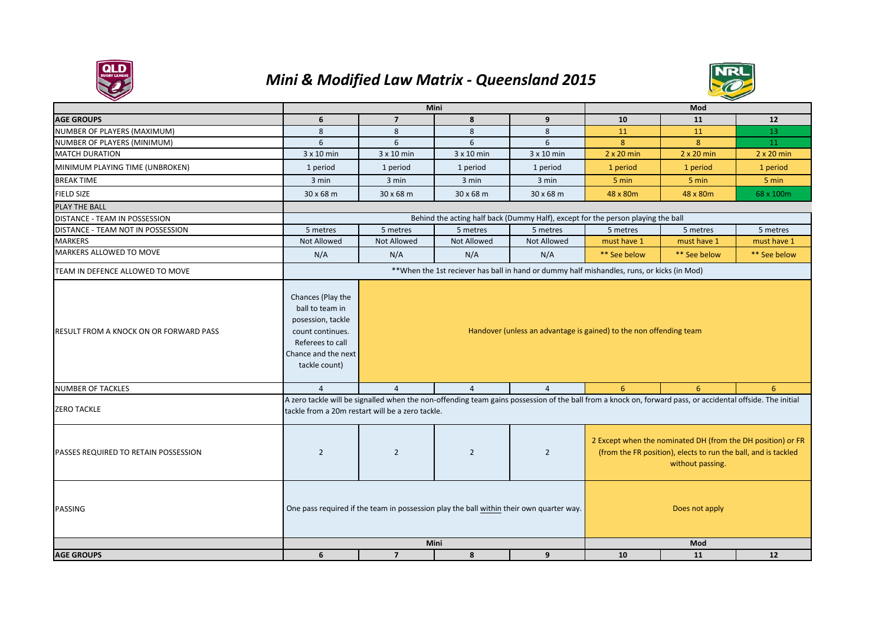

## *Mini & Modified Law Matrix - Queensland 2015*



|                                               |                                                                                                                                           | <b>Mini</b>                                                                                                                                                                                                    |                |                | Mod                                                                                                                                               |                   |                   |  |
|-----------------------------------------------|-------------------------------------------------------------------------------------------------------------------------------------------|----------------------------------------------------------------------------------------------------------------------------------------------------------------------------------------------------------------|----------------|----------------|---------------------------------------------------------------------------------------------------------------------------------------------------|-------------------|-------------------|--|
| <b>AGE GROUPS</b>                             | 6                                                                                                                                         | $\overline{7}$                                                                                                                                                                                                 | 8              | 9              | 10                                                                                                                                                | 11                | 12                |  |
| NUMBER OF PLAYERS (MAXIMUM)                   | 8                                                                                                                                         | 8                                                                                                                                                                                                              | 8              | 8              | 11                                                                                                                                                | 11                | 13                |  |
| NUMBER OF PLAYERS (MINIMUM)                   | 6                                                                                                                                         | 6                                                                                                                                                                                                              | 6              | 6              | 8 <sup>°</sup>                                                                                                                                    | 8                 | 11                |  |
| <b>MATCH DURATION</b>                         | 3 x 10 min                                                                                                                                | 3 x 10 min                                                                                                                                                                                                     | 3 x 10 min     | 3 x 10 min     | $2 \times 20$ min                                                                                                                                 | $2 \times 20$ min | $2 \times 20$ min |  |
| MINIMUM PLAYING TIME (UNBROKEN)               | 1 period                                                                                                                                  | 1 period                                                                                                                                                                                                       | 1 period       | 1 period       | 1 period                                                                                                                                          | 1 period          | 1 period          |  |
| <b>BREAK TIME</b>                             | 3 min                                                                                                                                     | 3 min                                                                                                                                                                                                          | 3 min          | 3 min          | 5 min                                                                                                                                             | 5 min             | 5 min             |  |
| <b>FIELD SIZE</b>                             | 30 x 68 m                                                                                                                                 | 30 x 68 m                                                                                                                                                                                                      | 30 x 68 m      | 30 x 68 m      | 48 x 80m                                                                                                                                          | 48 x 80m          | 68 x 100m         |  |
| PLAY THE BALL                                 |                                                                                                                                           |                                                                                                                                                                                                                |                |                |                                                                                                                                                   |                   |                   |  |
| DISTANCE - TEAM IN POSSESSION                 |                                                                                                                                           | Behind the acting half back (Dummy Half), except for the person playing the ball                                                                                                                               |                |                |                                                                                                                                                   |                   |                   |  |
| DISTANCE - TEAM NOT IN POSSESSION             | 5 metres                                                                                                                                  | 5 metres                                                                                                                                                                                                       | 5 metres       | 5 metres       | 5 metres                                                                                                                                          | 5 metres          | 5 metres          |  |
| <b>MARKERS</b>                                | Not Allowed                                                                                                                               | Not Allowed                                                                                                                                                                                                    | Not Allowed    | Not Allowed    | must have 1                                                                                                                                       | must have 1       | must have 1       |  |
| MARKERS ALLOWED TO MOVE                       | N/A                                                                                                                                       | N/A                                                                                                                                                                                                            | N/A            | N/A            | ** See below                                                                                                                                      | ** See below      | ** See below      |  |
| TEAM IN DEFENCE ALLOWED TO MOVE               |                                                                                                                                           | **When the 1st reciever has ball in hand or dummy half mishandles, runs, or kicks (in Mod)                                                                                                                     |                |                |                                                                                                                                                   |                   |                   |  |
| <b>RESULT FROM A KNOCK ON OR FORWARD PASS</b> | Chances (Play the<br>ball to team in<br>posession, tackle<br>count continues.<br>Referees to call<br>Chance and the next<br>tackle count) | Handover (unless an advantage is gained) to the non offending team                                                                                                                                             |                |                |                                                                                                                                                   |                   |                   |  |
| <b>NUMBER OF TACKLES</b>                      | $\overline{4}$                                                                                                                            | $\overline{4}$                                                                                                                                                                                                 | $\overline{4}$ | $\overline{4}$ | 6 <sup>6</sup>                                                                                                                                    | 6                 | $6^{\circ}$       |  |
| <b>ZERO TACKLE</b>                            |                                                                                                                                           | A zero tackle will be signalled when the non-offending team gains possession of the ball from a knock on, forward pass, or accidental offside. The initial<br>tackle from a 20m restart will be a zero tackle. |                |                |                                                                                                                                                   |                   |                   |  |
| PASSES REQUIRED TO RETAIN POSSESSION          | $\overline{2}$                                                                                                                            | $\overline{2}$                                                                                                                                                                                                 | $\overline{2}$ | $\overline{2}$ | 2 Except when the nominated DH (from the DH position) or FR<br>(from the FR position), elects to run the ball, and is tackled<br>without passing. |                   |                   |  |
| <b>PASSING</b>                                |                                                                                                                                           | One pass required if the team in possession play the ball within their own quarter way.<br>Does not apply                                                                                                      |                |                |                                                                                                                                                   |                   |                   |  |
|                                               |                                                                                                                                           | Mini                                                                                                                                                                                                           |                |                |                                                                                                                                                   | Mod               |                   |  |
| <b>AGE GROUPS</b>                             | 6                                                                                                                                         | $\overline{7}$                                                                                                                                                                                                 | 8              | 9              | 10                                                                                                                                                | 11                | 12                |  |